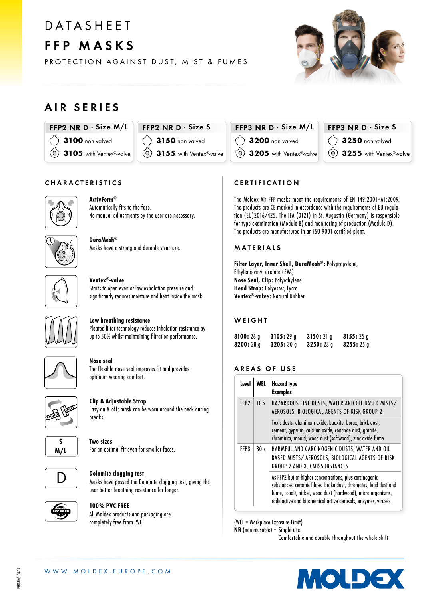# **DATASHEET** FFP MASKS



#### PROTECTION AGAINST DUST, MIST & FUMES

### AIR SERIES

FFP2 NR D · Size M/L 3100 non valved

3105 with Ventex<sup>®</sup>-valve



FFP3 NR  $D \cdot$  Size M/L **3200** non valved  $\circledcirc$  3205 with Ventex®-valve

### $FFP3$  NR D  $\cdot$  Size S 3250 non valved 3255 with Ventex®-valve

#### CHARACTERISTICS



 $\circlearrowleft$ 

#### ActivForm®

Automatically fits to the face. No manual adjustments by the user are necessary.



DuraMesh® Masks have a strong and durable structure.



#### Ventex®-valve Starts to open even at low exhalation pressure and

significantly reduces moisture and heat inside the mask.



#### Low breathing resistance

Pleated filter technology reduces inhalation resistance by up to 50% whilst maintaining filtration performance.



### Nose seal

The flexible nose seal improves fit and provides optimum wearing comfort.



#### Clip & Adjustable Strap Easy on & off; mask can be worn around the neck during

breaks.



Two sizes For an optimal fit even for smaller faces.



#### Dolomite clogging test

Masks have passed the Dolomite clogging test, giving the user better breathing resistance for longer.



#### 100% PVC-FREE

All Moldex products and packaging are completely free from PVC.

### **CERTIFICATION**

The Moldex Air FFP-masks meet the requirements of EN 149:2001+A1:2009. The products are CE-marked in accordance with the requirements of EU regulation (EU)2016/425. The IFA (0121) in St. Augustin (Germany) is responsible for type examination (Module B) and monitoring of production (Module D). The products are manufactured in an ISO 9001 certified plant.

#### MATERIALS

Filter Layer, Inner Shell, DuraMesh®: Polypropylene, Ethylene-vinyl acetate (EVA) Nose Seal, Clip: Polyethylene Head Strap: Polyester, Lycra Ventex®-valve: Natural Rubber

#### **WEIGHT**

| 3100:26a | 3105:29a | 3150:21a | 3155:25q |
|----------|----------|----------|----------|
| 3200:28q | 3205:30q | 3250:23q | 3255:25g |

#### AREAS OF USE

| Level            |                                                                                                                                                                                                                                                              | <b>Hazard type</b><br><b>Examples</b>                                                                                                                                        |
|------------------|--------------------------------------------------------------------------------------------------------------------------------------------------------------------------------------------------------------------------------------------------------------|------------------------------------------------------------------------------------------------------------------------------------------------------------------------------|
| FFP <sub>2</sub> | 10x                                                                                                                                                                                                                                                          | HAZARDOUS FINE DUSTS, WATER AND OIL BASED MISTS/<br>AEROSOLS, BIOLOGICAL AGENTS OF RISK GROUP 2                                                                              |
|                  |                                                                                                                                                                                                                                                              | Toxic dusts, aluminum oxide, bauxite, borax, brick dust,<br>cement, gypsum, calcium oxide, concrete dust, granite,<br>chromium, mould, wood dust (softwood), zinc oxide fume |
| FFP3             | 30x                                                                                                                                                                                                                                                          | HARMFUL AND CARCINOGENIC DUSTS, WATER AND OIL<br>BASED MISTS/ AEROSOLS, BIOLOGICAL AGENTS OF RISK<br>GROUP 2 AND 3, CMR-SUBSTANCES                                           |
|                  | As FFP2 but at higher concentrations, plus carcinogenic<br>substances, ceramic fibres, brake dust, chromates, lead dust and<br>fume, cobalt, nickel, wood dust (hardwood), micro organisms,<br>radioactive and biochemical active aerosols, enzymes, viruses |                                                                                                                                                                              |

(WEL = Workplace Exposure Limit)

NR (non reusable) = Single use.

Comfortable and durable throughout the whole shift